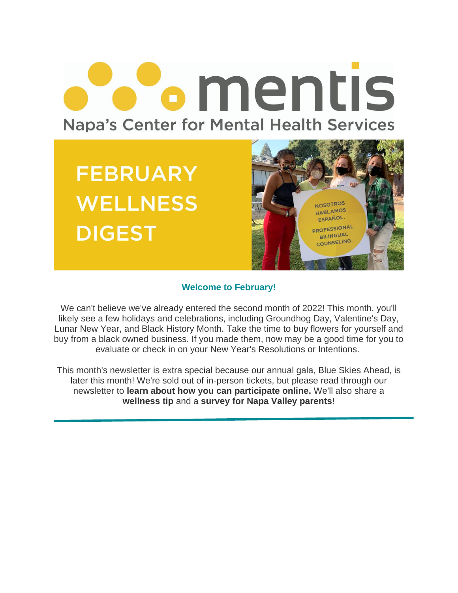# **•** mentis **Napa's Center for Mental Health Services**

**FEBRUARY WELLNESS DIGEST** 



#### **Welcome to February!**

We can't believe we've already entered the second month of 2022! This month, you'll likely see a few holidays and celebrations, including Groundhog Day, Valentine's Day, Lunar New Year, and Black History Month. Take the time to buy flowers for yourself and buy from a black owned business. If you made them, now may be a good time for you to evaluate or check in on your New Year's Resolutions or Intentions.

This month's newsletter is extra special because our annual gala, Blue Skies Ahead, is later this month! We're sold out of in-person tickets, but please read through our newsletter to **learn about how you can participate online.** We'll also share a **wellness tip** and a **survey for Napa Valley parents!**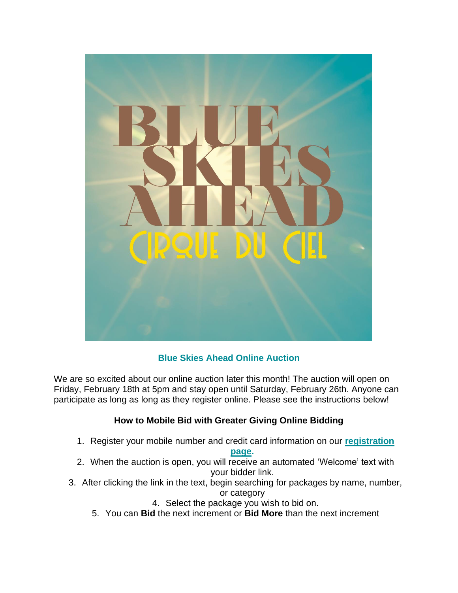

### **Blue Skies Ahead Online Auction**

We are so excited about our online auction later this month! The auction will open on Friday, February 18th at 5pm and stay open until Saturday, February 26th. Anyone can participate as long as long as they register online. Please see the instructions below!

#### **How to Mobile Bid with Greater Giving Online Bidding**

1. Register your mobile number and credit card information on our **[registration](https://mentis1702.ggo.bid/)** 

#### **[page.](https://mentis1702.ggo.bid/)**

- 2. When the auction is open, you will receive an automated 'Welcome' text with your bidder link.
- 3. After clicking the link in the text, begin searching for packages by name, number, or category
	- 4. Select the package you wish to bid on.
	- 5. You can **Bid** the next increment or **Bid More** than the next increment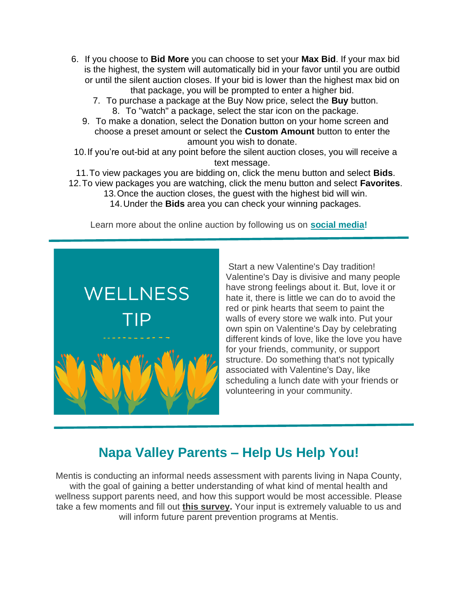- 6. If you choose to **Bid More** you can choose to set your **Max Bid**. If your max bid is the highest, the system will automatically bid in your favor until you are outbid or until the silent auction closes. If your bid is lower than the highest max bid on that package, you will be prompted to enter a higher bid.
	- 7. To purchase a package at the Buy Now price, select the **Buy** button. 8. To "watch" a package, select the star icon on the package.
	- 9. To make a donation, select the Donation button on your home screen and choose a preset amount or select the **Custom Amount** button to enter the amount you wish to donate.
- 10.If you're out-bid at any point before the silent auction closes, you will receive a text message.
- 11.To view packages you are bidding on, click the menu button and select **Bids**. 12.To view packages you are watching, click the menu button and select **Favorites**.
	- 13.Once the auction closes, the guest with the highest bid will win.
		- 14.Under the **Bids** area you can check your winning packages.

Learn more about the online auction by following us on **[social media!](https://www.instagram.com/mentisnapa/)**



Start a new Valentine's Day tradition! Valentine's Day is divisive and many people have strong feelings about it. But, love it or hate it, there is little we can do to avoid the red or pink hearts that seem to paint the walls of every store we walk into. Put your own spin on Valentine's Day by celebrating different kinds of love, like the love you have for your friends, community, or support structure. Do something that's not typically associated with Valentine's Day, like scheduling a lunch date with your friends or volunteering in your community.

## **Napa Valley Parents – Help Us Help You!**

Mentis is conducting an informal needs assessment with parents living in Napa County, with the goal of gaining a better understanding of what kind of mental health and wellness support parents need, and how this support would be most accessible. Please take a few moments and fill out **[this survey.](https://docs.google.com/forms/d/1R9NrLVqFtwjfB1LgwEvpMu-4pDRiSteSpv_vGJDtEBE/viewform?edit_requested=true)** Your input is extremely valuable to us and will inform future parent prevention programs at Mentis.